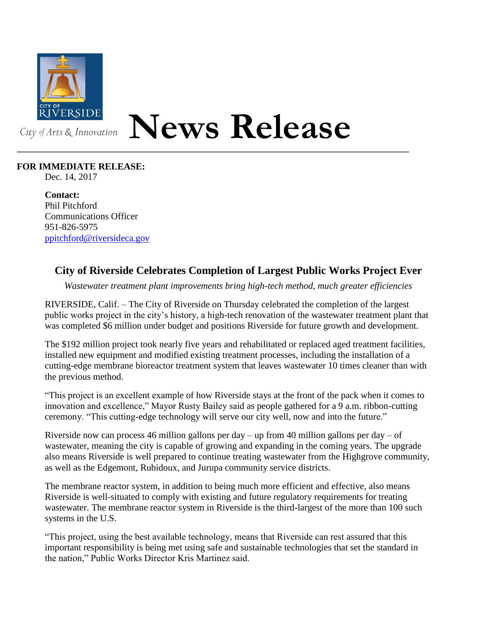

## **News Release**

## **FOR IMMEDIATE RELEASE:**

Dec. 14, 2017

**Contact:** Phil Pitchford Communications Officer 951-826-5975 [ppitchford@riversideca.gov](mailto:ppitchford@riversideca.gov)

## **City of Riverside Celebrates Completion of Largest Public Works Project Ever**

*Wastewater treatment plant improvements bring high-tech method, much greater efficiencies*

RIVERSIDE, Calif. – The City of Riverside on Thursday celebrated the completion of the largest public works project in the city's history, a high-tech renovation of the wastewater treatment plant that was completed \$6 million under budget and positions Riverside for future growth and development.

The \$192 million project took nearly five years and rehabilitated or replaced aged treatment facilities, installed new equipment and modified existing treatment processes, including the installation of a cutting-edge membrane bioreactor treatment system that leaves wastewater 10 times cleaner than with the previous method.

"This project is an excellent example of how Riverside stays at the front of the pack when it comes to innovation and excellence," Mayor Rusty Bailey said as people gathered for a 9 a.m. ribbon-cutting ceremony. "This cutting-edge technology will serve our city well, now and into the future."

Riverside now can process 46 million gallons per day – up from 40 million gallons per day – of wastewater, meaning the city is capable of growing and expanding in the coming years. The upgrade also means Riverside is well prepared to continue treating wastewater from the Highgrove community, as well as the Edgemont, Rubidoux, and Jurupa community service districts.

The membrane reactor system, in addition to being much more efficient and effective, also means Riverside is well-situated to comply with existing and future regulatory requirements for treating wastewater. The membrane reactor system in Riverside is the third-largest of the more than 100 such systems in the U.S.

"This project, using the best available technology, means that Riverside can rest assured that this important responsibility is being met using safe and sustainable technologies that set the standard in the nation," Public Works Director Kris Martinez said.